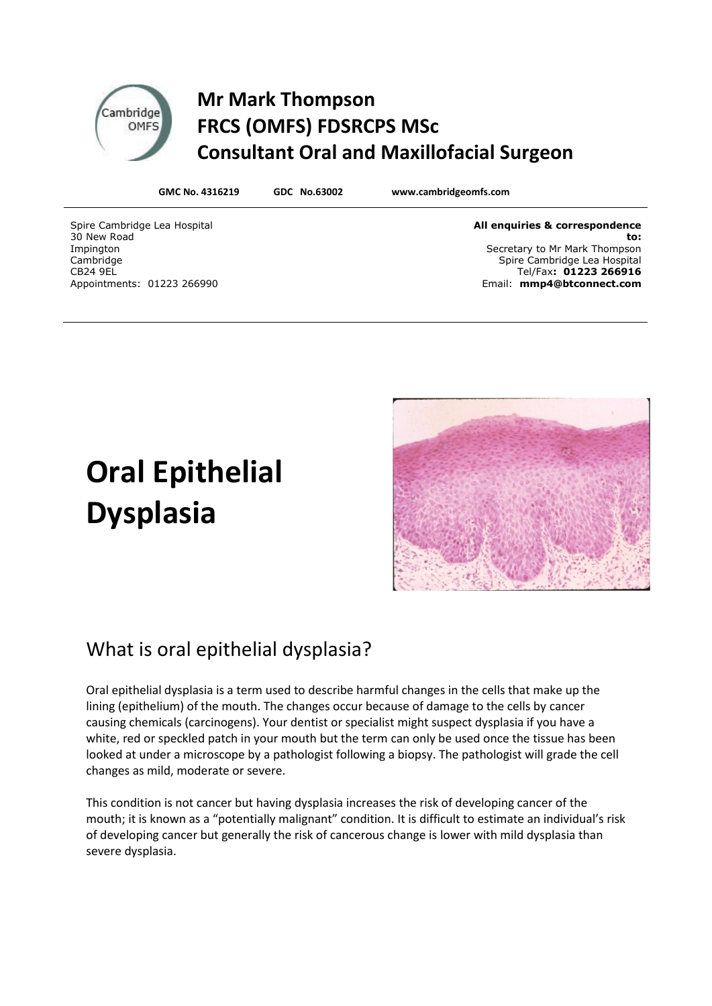## **Mr Mark Thompson FRCS (OMFS) FDSRCPS MSc Consultant Oral and Maxillofacial Surgeon**

**GMC No. 4316219 GDC No.63002 www.cambridgeomfs.com**

Spire Cambridge Lea Hospital 30 New Road Impington Cambridge CB24 9EL Appointments: 01223 266990

Cambridge OMFS

> **All enquiries & correspondence to:** Secretary to Mr Mark Thompson Spire Cambridge Lea Hospital Tel/Fax**: 01223 266916** Email: **mmp4@btconnect.com**

# **Oral Epithelial Dysplasia**



#### What is oral epithelial dysplasia?

Oral epithelial dysplasia is a term used to describe harmful changes in the cells that make up the lining (epithelium) of the mouth. The changes occur because of damage to the cells by cancer causing chemicals (carcinogens). Your dentist or specialist might suspect dysplasia if you have a white, red or speckled patch in your mouth but the term can only be used once the tissue has been looked at under a microscope by a pathologist following a biopsy. The pathologist will grade the cell changes as mild, moderate or severe.

This condition is not cancer but having dysplasia increases the risk of developing cancer of the mouth; it is known as a "potentially malignant" condition. It is difficult to estimate an individual's risk of developing cancer but generally the risk of cancerous change is lower with mild dysplasia than severe dysplasia.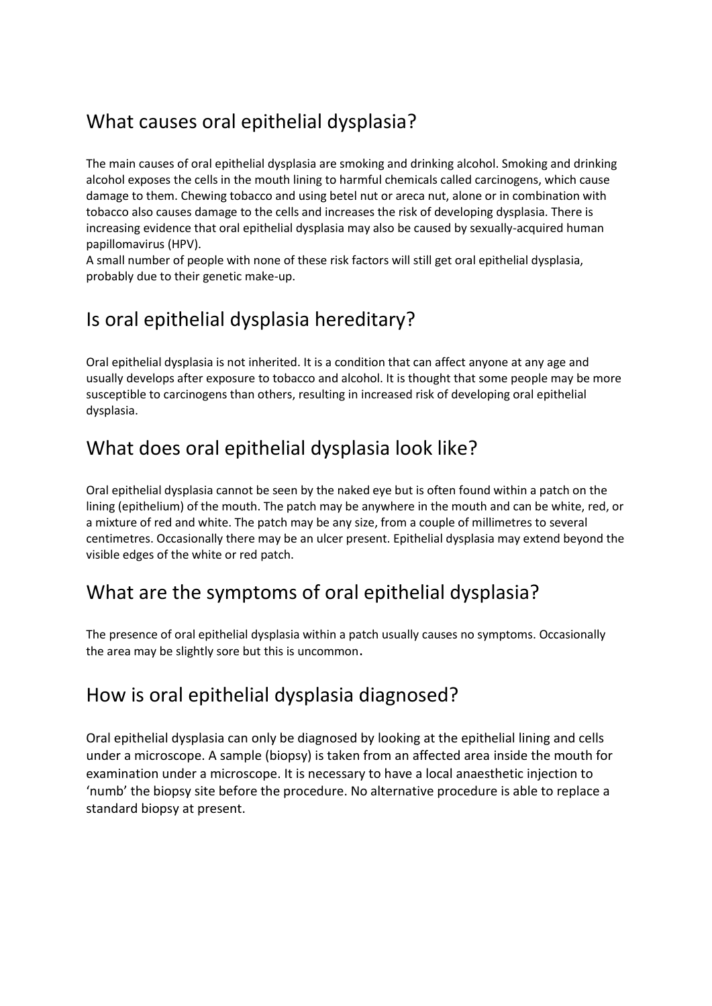## What causes oral epithelial dysplasia?

The main causes of oral epithelial dysplasia are smoking and drinking alcohol. Smoking and drinking alcohol exposes the cells in the mouth lining to harmful chemicals called carcinogens, which cause damage to them. Chewing tobacco and using betel nut or areca nut, alone or in combination with tobacco also causes damage to the cells and increases the risk of developing dysplasia. There is increasing evidence that oral epithelial dysplasia may also be caused by sexually-acquired human papillomavirus (HPV).

A small number of people with none of these risk factors will still get oral epithelial dysplasia, probably due to their genetic make-up.

## Is oral epithelial dysplasia hereditary?

Oral epithelial dysplasia is not inherited. It is a condition that can affect anyone at any age and usually develops after exposure to tobacco and alcohol. It is thought that some people may be more susceptible to carcinogens than others, resulting in increased risk of developing oral epithelial dysplasia.

#### What does oral epithelial dysplasia look like?

Oral epithelial dysplasia cannot be seen by the naked eye but is often found within a patch on the lining (epithelium) of the mouth. The patch may be anywhere in the mouth and can be white, red, or a mixture of red and white. The patch may be any size, from a couple of millimetres to several centimetres. Occasionally there may be an ulcer present. Epithelial dysplasia may extend beyond the visible edges of the white or red patch.

#### What are the symptoms of oral epithelial dysplasia?

The presence of oral epithelial dysplasia within a patch usually causes no symptoms. Occasionally the area may be slightly sore but this is uncommon.

#### How is oral epithelial dysplasia diagnosed?

Oral epithelial dysplasia can only be diagnosed by looking at the epithelial lining and cells under a microscope. A sample (biopsy) is taken from an affected area inside the mouth for examination under a microscope. It is necessary to have a local anaesthetic injection to 'numb' the biopsy site before the procedure. No alternative procedure is able to replace a standard biopsy at present.